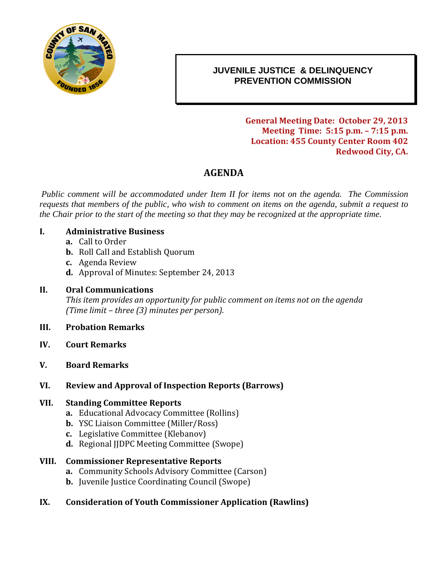

## 0B**JUVENILE JUSTICE & DELINQUENCY PREVENTION COMMISSION**

**General Meeting Date: October 29, 2013 Meeting Time: 5:15 p.m. – 7:15 p.m. Location: 455 County Center Room 402 Redwood City, CA.**

# **AGENDA**

*Public comment will be accommodated under Item II for items not on the agenda. The Commission requests that members of the public, who wish to comment on items on the agenda, submit a request to the Chair prior to the start of the meeting so that they may be recognized at the appropriate time.*

#### **I. Administrative Business**

- **a.** Call to Order
- **b.** Roll Call and Establish Quorum
- **c.** Agenda Review
- **d.** Approval of Minutes: September 24, 2013

#### **II. Oral Communications**

*This item provides an opportunity for public comment on items not on the agenda (Time limit – three (3) minutes per person).*

#### **III. Probation Remarks**

- **IV. Court Remarks**
- **V. Board Remarks**
- **VI. Review and Approval of Inspection Reports (Barrows)**

#### **VII. Standing Committee Reports**

- **a.** Educational Advocacy Committee (Rollins)
- **b.** YSC Liaison Committee (Miller/Ross)
- **c.** Legislative Committee (Klebanov)
- **d.** Regional IIDPC Meeting Committee (Swope)

#### **VIII. Commissioner Representative Reports**

- **a.** Community Schools Advisory Committee (Carson)
- **b.** Juvenile Justice Coordinating Council (Swope)

### **IX. Consideration of Youth Commissioner Application (Rawlins)**